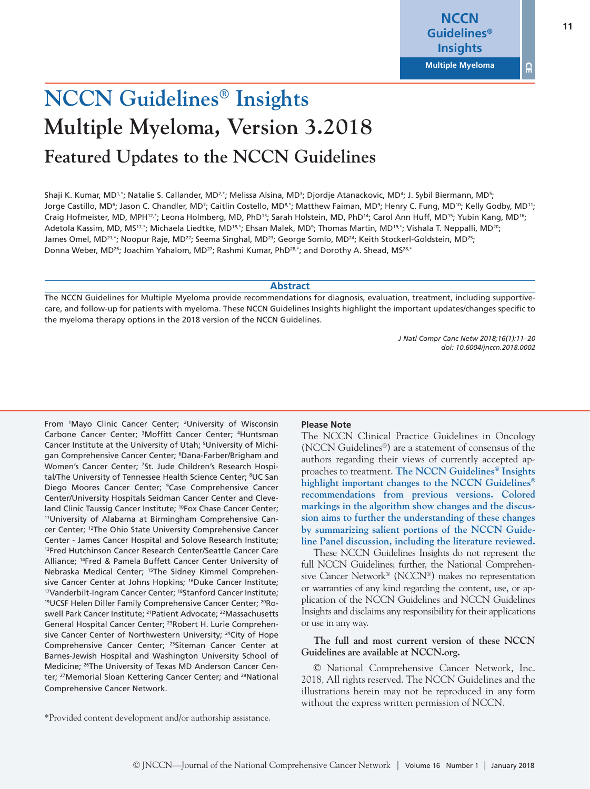$\Omega$ 

# **NCCN Guidelines® Insights Multiple Myeloma, Version 3.2018 Featured Updates to the NCCN Guidelines**

Shaji K. Kumar, MD<sup>1,\*</sup>; Natalie S. Callander, MD<sup>2,\*</sup>; Melissa Alsina, MD<sup>3</sup>; Djordje Atanackovic, MD<sup>4</sup>; J. Sybil Biermann, MD<sup>5</sup>; Jorge Castillo, MD<sup>6</sup>; Jason C. Chandler, MD<sup>7</sup>; Caitlin Costello, MD<sup>8,</sup>\*; Matthew Faiman, MD<sup>9</sup>; Henry C. Fung, MD<sup>10</sup>; Kelly Godby, MD<sup>11</sup>; Craig Hofmeister, MD, MPH<sup>12,\*</sup>; Leona Holmberg, MD, PhD<sup>13</sup>; Sarah Holstein, MD, PhD<sup>14</sup>; Carol Ann Huff, MD<sup>15</sup>; Yubin Kang, MD<sup>16</sup>; Adetola Kassim, MD, MS<sup>17,\*</sup>; Michaela Liedtke, MD<sup>18,\*</sup>; Ehsan Malek, MD<sup>9</sup>; Thomas Martin, MD<sup>19,\*</sup>; Vishala T. Neppalli, MD<sup>20</sup>; James Omel, MD<sup>21,\*</sup>; Noopur Raje, MD<sup>22</sup>; Seema Singhal, MD<sup>23</sup>; George Somlo, MD<sup>24</sup>; Keith Stockerl-Goldstein, MD<sup>25</sup>; Donna Weber, MD<sup>26</sup>; Joachim Yahalom, MD<sup>27</sup>; Rashmi Kumar, PhD<sup>28,\*</sup>; and Dorothy A. Shead, MS<sup>28,\*</sup>

### **Abstract**

The NCCN Guidelines for Multiple Myeloma provide recommendations for diagnosis, evaluation, treatment, including supportivecare, and follow-up for patients with myeloma. These NCCN Guidelines Insights highlight the important updates/changes specific to the myeloma therapy options in the 2018 version of the NCCN Guidelines.

> *J Natl Compr Canc Netw 2018;16(1):11–20 doi: 10.6004/jnccn.2018.0002*

From <sup>1</sup>Mayo Clinic Cancer Center; <sup>2</sup>University of Wisconsin Carbone Cancer Center; <sup>3</sup>Moffitt Cancer Center; <sup>4</sup>Huntsman Cancer Institute at the University of Utah; <sup>5</sup>University of Michigan Comprehensive Cancer Center; <sup>6</sup>Dana-Farber/Brigham and Women's Cancer Center; 7St. Jude Children's Research Hospital/The University of Tennessee Health Science Center; <sup>8</sup>UC San Diego Moores Cancer Center; <sup>9</sup>Case Comprehensive Cancer Center/University Hospitals Seidman Cancer Center and Cleveland Clinic Taussig Cancer Institute; <sup>10</sup>Fox Chase Cancer Center;<br><sup>11</sup>University of Alabama at Birmingham Comprehensive Cancer Center; 12The Ohio State University Comprehensive Cancer Center - James Cancer Hospital and Solove Research Institute; 13Fred Hutchinson Cancer Research Center/Seattle Cancer Care Alliance; 14Fred & Pamela Buffett Cancer Center University of Nebraska Medical Center; 15The Sidney Kimmel Comprehensive Cancer Center at Johns Hopkins; <sup>16</sup>Duke Cancer Institute; <sup>17</sup>Vanderbilt-Ingram Cancer Center; <sup>18</sup>Stanford Cancer Institute; 19UCSF Helen Diller Family Comprehensive Cancer Center; <sup>20</sup>Roswell Park Cancer Institute; 21Patient Advocate; 22Massachusetts General Hospital Cancer Center; 23Robert H. Lurie Comprehensive Cancer Center of Northwestern University; <sup>24</sup>City of Hope Comprehensive Cancer Center; 25Siteman Cancer Center at Barnes-Jewish Hospital and Washington University School of Medicine; 26The University of Texas MD Anderson Cancer Center; <sup>27</sup>Memorial Sloan Kettering Cancer Center; and <sup>28</sup>National Comprehensive Cancer Network.

### **Please Note**

The NCCN Clinical Practice Guidelines in Oncology (NCCN Guidelines®) are a statement of consensus of the authors regarding their views of currently accepted approaches to treatment. **The NCCN Guidelines® Insights highlight important changes to the NCCN Guidelines® recommendations from previous versions. Colored markings in the algorithm show changes and the discussion aims to further the understanding of these changes by summarizing salient portions of the NCCN Guideline Panel discussion, including the literature reviewed.**

These NCCN Guidelines Insights do not represent the full NCCN Guidelines; further, the National Comprehensive Cancer Network® (NCCN®) makes no representation or warranties of any kind regarding the content, use, or application of the NCCN Guidelines and NCCN Guidelines Insights and disclaims any responsibility for their applications or use in any way.

**The full and most current version of these NCCN Guidelines are available at NCCN.org.**

© National Comprehensive Cancer Network, Inc. 2018, All rights reserved. The NCCN Guidelines and the illustrations herein may not be reproduced in any form without the express written permission of NCCN.

\*Provided content development and/or authorship assistance.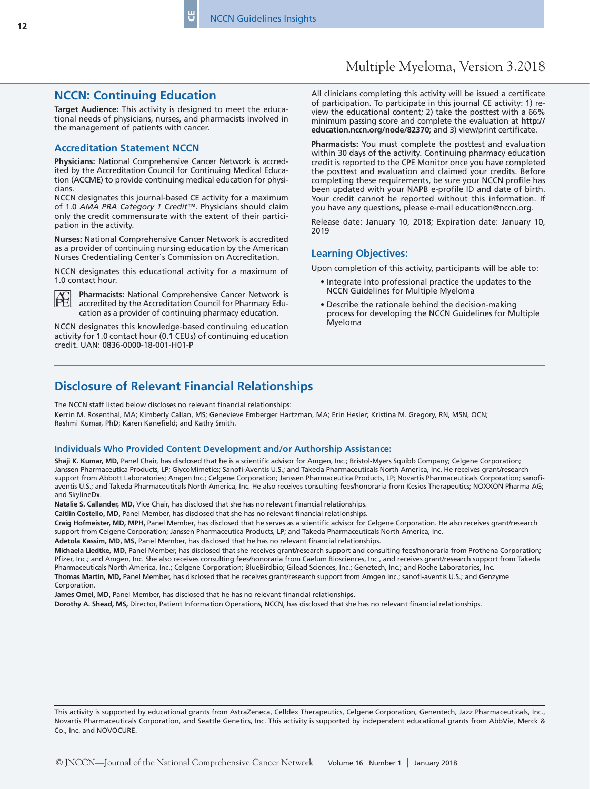## **NCCN: Continuing Education**

**Target Audience:** This activity is designed to meet the educational needs of physicians, nurses, and pharmacists involved in the management of patients with cancer.

٣J

#### **Accreditation Statement NCCN**

**Physicians:** National Comprehensive Cancer Network is accredited by the Accreditation Council for Continuing Medical Education (ACCME) to provide continuing medical education for physicians.

NCCN designates this journal-based CE activity for a maximum of 1.0 *AMA PRA Category 1 Credit™*. Physicians should claim only the credit commensurate with the extent of their participation in the activity.

**Nurses:** National Comprehensive Cancer Network is accredited as a provider of continuing nursing education by the American Nurses Credentialing Center`s Commission on Accreditation.

NCCN designates this educational activity for a maximum of 1.0 contact hour.



**Pharmacists:** National Comprehensive Cancer Network is accredited by the Accreditation Council for Pharmacy Education as a provider of continuing pharmacy education.

NCCN designates this knowledge-based continuing education activity for 1.0 contact hour (0.1 CEUs) of continuing education credit. UAN: 0836-0000-18-001-H01-P

All clinicians completing this activity will be issued a certificate of participation. To participate in this journal CE activity: 1) review the educational content; 2) take the posttest with a 66% minimum passing score and complete the evaluation at **http:// education.nccn.org/node/82370**; and 3) view/print certificate.

**Pharmacists:** You must complete the posttest and evaluation within 30 days of the activity. Continuing pharmacy education credit is reported to the CPE Monitor once you have completed the posttest and evaluation and claimed your credits. Before completing these requirements, be sure your NCCN profile has been updated with your NAPB e-profile ID and date of birth. Your credit cannot be reported without this information. If you have any questions, please e-mail education@nccn.org.

Release date: January 10, 2018; Expiration date: January 10, 2019

#### **Learning Objectives:**

Upon completion of this activity, participants will be able to:

- Integrate into professional practice the updates to the NCCN Guidelines for Multiple Myeloma
- Describe the rationale behind the decision-making process for developing the NCCN Guidelines for Multiple Myeloma

# **Disclosure of Relevant Financial Relationships**

The NCCN staff listed below discloses no relevant financial relationships:

Kerrin M. Rosenthal, MA; Kimberly Callan, MS; Genevieve Emberger Hartzman, MA; Erin Hesler; Kristina M. Gregory, RN, MSN, OCN; Rashmi Kumar, PhD; Karen Kanefield; and Kathy Smith.

#### **Individuals Who Provided Content Development and/or Authorship Assistance:**

**Shaji K. Kumar, MD,** Panel Chair, has disclosed that he is a scientific advisor for Amgen, Inc.; Bristol-Myers Squibb Company; Celgene Corporation; Janssen Pharmaceutica Products, LP; GlycoMimetics; Sanofi-Aventis U.S.; and Takeda Pharmaceuticals North America, Inc. He receives grant/research support from Abbott Laboratories; Amgen Inc.; Celgene Corporation; Janssen Pharmaceutica Products, LP; Novartis Pharmaceuticals Corporation; sanofiaventis U.S.; and Takeda Pharmaceuticals North America, Inc. He also receives consulting fees/honoraria from Kesios Therapeutics; NOXXON Pharma AG; and SkylineDx.

**Natalie S. Callander, MD,** Vice Chair, has disclosed that she has no relevant financial relationships.

**Caitlin Costello, MD,** Panel Member, has disclosed that she has no relevant financial relationships.

**Craig Hofmeister, MD, MPH,** Panel Member, has disclosed that he serves as a scientific advisor for Celgene Corporation. He also receives grant/research support from Celgene Corporation; Janssen Pharmaceutica Products, LP; and Takeda Pharmaceuticals North America, Inc.

**Adetola Kassim, MD, MS,** Panel Member, has disclosed that he has no relevant financial relationships.

**Michaela Liedtke, MD,** Panel Member, has disclosed that she receives grant/research support and consulting fees/honoraria from Prothena Corporation; Pfizer, Inc.; and Amgen, Inc. She also receives consulting fees/honoraria from Caelum Biosciences, Inc., and receives grant/research support from Takeda Pharmaceuticals North America, Inc.; Celgene Corporation; BlueBirdbio; Gilead Sciences, Inc.; Genetech, Inc.; and Roche Laboratories, Inc. **Thomas Martin, MD,** Panel Member, has disclosed that he receives grant/research support from Amgen Inc.; sanofi-aventis U.S.; and Genzyme

Corporation. **James Omel, MD,** Panel Member, has disclosed that he has no relevant financial relationships.

**Dorothy A. Shead, MS,** Director, Patient Information Operations, NCCN, has disclosed that she has no relevant financial relationships.

This activity is supported by educational grants from AstraZeneca, Celldex Therapeutics, Celgene Corporation, Genentech, Jazz Pharmaceuticals, Inc., Novartis Pharmaceuticals Corporation, and Seattle Genetics, Inc. This activity is supported by independent educational grants from AbbVie, Merck & Co., Inc. and NOVOCURE.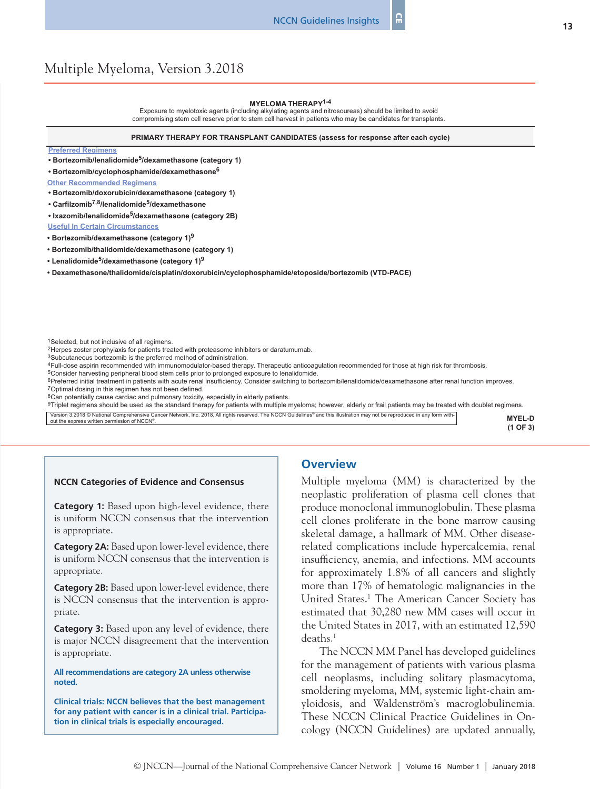#### **MYELOMA THERAPY1-4**

Exposure to myelotoxic agents (including alkylating agents and nitrosoureas) should be limited to avoid compromising stem cell reserve prior to stem cell harvest in patients who may be candidates for transplants.

#### **PRIMARY THERAPY FOR TRANSPLANT CANDIDATES (assess for response after each cycle)**

#### **Preferred Regimens**

**• Bortezomib/lenalidomide5/dexamethasone (category 1)**

**• Bortezomib/cyclophosphamide/dexamethasone6**

**Other Recommended Regimens**

**• Bortezomib/doxorubicin/dexamethasone (category 1)**

**• Carfilzomib7,8/lenalidomide5/dexamethasone**

**• Ixazomib/lenalidomide5/dexamethasone (category 2B)**

**Useful In Certain Circumstances**

**• Bortezomib/dexamethasone (category 1)<sup>9</sup>**

**• Bortezomib/thalidomide/dexamethasone (category 1)**

**• Lenalidomide5/dexamethasone (category 1)9**

**• Dexamethasone/thalidomide/cisplatin/doxorubicin/cyclophosphamide/etoposide/bortezomib (VTD-PACE)**

2Herpes zoster prophylaxis for patients treated with proteasome inhibitors or daratumumab.

3Subcutaneous bortezomib is the preferred method of administration.

4Full-dose aspirin recommended with immunomodulator-based therapy. Therapeutic anticoagulation recommended for those at high risk for thrombosis.

5Consider harvesting peripheral blood stem cells prior to prolonged exposure to lenalidomide. <sup>6</sup>Preferred initial treatment in patients with acute renal insufficiency. Consider switching to bortezomib/lenalidomide/dexamethasone after renal function improves.

7Optimal dosing in this regimen has not been defined.

8Can potentially cause cardiac and pulmonary toxicity, especially in elderly patients.

9Triplet regimens should be used as the standard therapy for patients with multiple myeloma; however, elderly or frail patients may be treated with doublet regimens.

Version 3.2018 © National Comprehensive Cancer Network, Inc. 2018, All rights reserved. The NCCN Guidelines® and this illustration may not be reproduced in any form with-Version 3.2018 © National Comprehensive Cancer Network, Inc. 2018, All rights reserved. The NCCN Guidelines® and this illustration may not be reproduced in any form with-<br>out the express written permission of NCCN®.

#### **NCCN Categories of Evidence and Consensus**

**Category 1:** Based upon high-level evidence, there is uniform NCCN consensus that the intervention is appropriate.

**Category 2A:** Based upon lower-level evidence, there is uniform NCCN consensus that the intervention is appropriate.

**Category 2B:** Based upon lower-level evidence, there is NCCN consensus that the intervention is appropriate.

**Category 3:** Based upon any level of evidence, there is major NCCN disagreement that the intervention is appropriate.

**All recommendations are category 2A unless otherwise noted.**

**Clinical trials: NCCN believes that the best management for any patient with cancer is in a clinical trial. Participation in clinical trials is especially encouraged.**

#### **Overview**

Multiple myeloma (MM) is characterized by the neoplastic proliferation of plasma cell clones that produce monoclonal immunoglobulin. These plasma cell clones proliferate in the bone marrow causing skeletal damage, a hallmark of MM. Other diseaserelated complications include hypercalcemia, renal insufficiency, anemia, and infections. MM accounts for approximately 1.8% of all cancers and slightly more than 17% of hematologic malignancies in the United States.<sup>1</sup> The American Cancer Society has estimated that 30,280 new MM cases will occur in the United States in 2017, with an estimated 12,590 deaths.<sup>1</sup>

The NCCN MM Panel has developed guidelines for the management of patients with various plasma cell neoplasms, including solitary plasmacytoma, smoldering myeloma, MM, systemic light-chain amyloidosis, and Waldenström's macroglobulinemia. These NCCN Clinical Practice Guidelines in Oncology (NCCN Guidelines) are updated annually,

**(1 OF 3)**

<sup>&</sup>lt;sup>1</sup>Selected, but not inclusive of all regimens.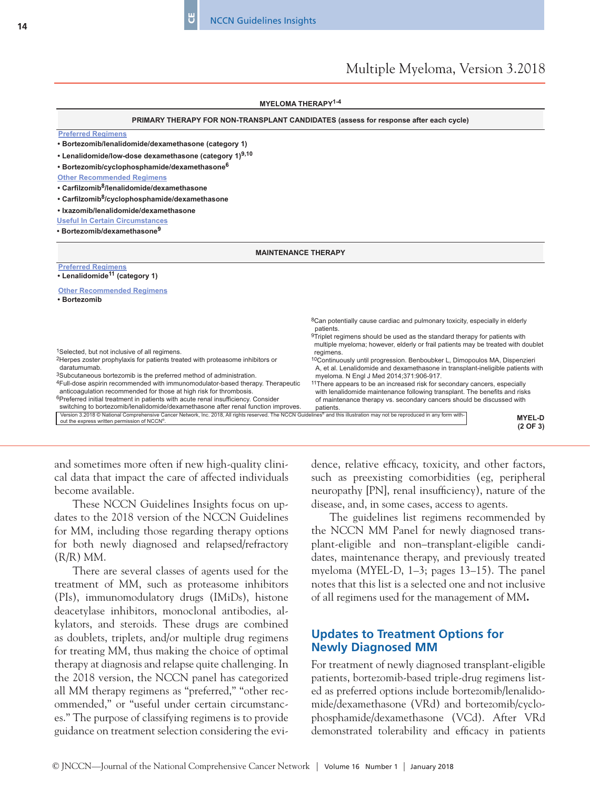CE

# Multiple Myeloma, Version 3.2018

| <b>MYELOMA THERAPY<sup>1-4</sup></b>                                                                                                                                                                                                        |                                                                                                                                                                            |  |
|---------------------------------------------------------------------------------------------------------------------------------------------------------------------------------------------------------------------------------------------|----------------------------------------------------------------------------------------------------------------------------------------------------------------------------|--|
| PRIMARY THERAPY FOR NON-TRANSPLANT CANDIDATES (assess for response after each cycle)                                                                                                                                                        |                                                                                                                                                                            |  |
| <b>Preferred Regimens</b>                                                                                                                                                                                                                   |                                                                                                                                                                            |  |
| • Bortezomib/lenalidomide/dexamethasone (category 1)                                                                                                                                                                                        |                                                                                                                                                                            |  |
| • Lenalidomide/low-dose dexamethasone (category 1)9,10                                                                                                                                                                                      |                                                                                                                                                                            |  |
| • Bortezomib/cyclophosphamide/dexamethasone <sup>6</sup>                                                                                                                                                                                    |                                                                                                                                                                            |  |
| <b>Other Recommended Regimens</b>                                                                                                                                                                                                           |                                                                                                                                                                            |  |
| • Carfilzomib <sup>8</sup> /lenalidomide/dexamethasone                                                                                                                                                                                      |                                                                                                                                                                            |  |
| • Carfilzomib <sup>8</sup> /cyclophosphamide/dexamethasone                                                                                                                                                                                  |                                                                                                                                                                            |  |
| · Ixazomib/lenalidomide/dexamethasone                                                                                                                                                                                                       |                                                                                                                                                                            |  |
| <b>Useful In Certain Circumstances</b>                                                                                                                                                                                                      |                                                                                                                                                                            |  |
| • Bortezomib/dexamethasone <sup>9</sup>                                                                                                                                                                                                     |                                                                                                                                                                            |  |
| <b>MAINTENANCE THERAPY</b>                                                                                                                                                                                                                  |                                                                                                                                                                            |  |
|                                                                                                                                                                                                                                             |                                                                                                                                                                            |  |
| <b>Preferred Regimens</b><br>• Lenalidomide <sup>11</sup> (category 1)                                                                                                                                                                      |                                                                                                                                                                            |  |
| <b>Other Recommended Regimens</b>                                                                                                                                                                                                           |                                                                                                                                                                            |  |
| · Bortezomib                                                                                                                                                                                                                                |                                                                                                                                                                            |  |
|                                                                                                                                                                                                                                             | <sup>8</sup> Can potentially cause cardiac and pulmonary toxicity, especially in elderly                                                                                   |  |
|                                                                                                                                                                                                                                             | patients.                                                                                                                                                                  |  |
|                                                                                                                                                                                                                                             | <sup>9</sup> Triplet regimens should be used as the standard therapy for patients with<br>multiple myeloma; however, elderly or frail patients may be treated with doublet |  |
| <sup>1</sup> Selected, but not inclusive of all regimens.                                                                                                                                                                                   | regimens.                                                                                                                                                                  |  |
| <sup>2</sup> Herpes zoster prophylaxis for patients treated with proteasome inhibitors or<br>daratumumab.                                                                                                                                   | <sup>10</sup> Continuously until progression. Benboubker L, Dimopoulos MA, Dispenzieri<br>A, et al. Lenalidomide and dexamethasone in transplant-ineligible patients with  |  |
| <sup>3</sup> Subcutaneous bortezomib is the preferred method of administration.                                                                                                                                                             | myeloma. N Engl J Med 2014;371:906-917.                                                                                                                                    |  |
| <sup>4</sup> Full-dose aspirin recommended with immunomodulator-based therapy. Therapeutic                                                                                                                                                  | <sup>11</sup> There appears to be an increased risk for secondary cancers, especially                                                                                      |  |
| anticoagulation recommended for those at high risk for thrombosis.<br><sup>6</sup> Preferred initial treatment in patients with acute renal insufficiency. Consider                                                                         | with lenalidomide maintenance following transplant. The benefits and risks<br>of maintenance therapy vs. secondary cancers should be discussed with                        |  |
| switching to bortezomib/lenalidomide/dexamethasone after renal function improves.                                                                                                                                                           | patients.                                                                                                                                                                  |  |
| Version 3.2018 © National Comprehensive Cancer Network, Inc. 2018, All rights reserved. The NCCN Guidelines® and this illustration may not be reproduced in any form with-<br><b>MYEL-D</b><br>out the express written permission of NCCN®. |                                                                                                                                                                            |  |
|                                                                                                                                                                                                                                             | $(2$ OF $3)$                                                                                                                                                               |  |

and sometimes more often if new high-quality clinical data that impact the care of affected individuals become available.

These NCCN Guidelines Insights focus on updates to the 2018 version of the NCCN Guidelines for MM, including those regarding therapy options for both newly diagnosed and relapsed/refractory (R/R) MM.

There are several classes of agents used for the treatment of MM, such as proteasome inhibitors (PIs), immunomodulatory drugs (IMiDs), histone deacetylase inhibitors, monoclonal antibodies, alkylators, and steroids. These drugs are combined as doublets, triplets, and/or multiple drug regimens for treating MM, thus making the choice of optimal therapy at diagnosis and relapse quite challenging. In the 2018 version, the NCCN panel has categorized all MM therapy regimens as "preferred," "other recommended," or "useful under certain circumstances." The purpose of classifying regimens is to provide guidance on treatment selection considering the evidence, relative efficacy, toxicity, and other factors, such as preexisting comorbidities (eg, peripheral neuropathy [PN], renal insufficiency), nature of the disease, and, in some cases, access to agents.

The guidelines list regimens recommended by the NCCN MM Panel for newly diagnosed transplant-eligible and non–transplant-eligible candidates, maintenance therapy, and previously treated myeloma (MYEL-D, 1–3; pages 13–15). The panel notes that this list is a selected one and not inclusive of all regimens used for the management of MM**.**

# **Updates to Treatment Options for Newly Diagnosed MM**

For treatment of newly diagnosed transplant-eligible patients, bortezomib-based triple-drug regimens listed as preferred options include bortezomib/lenalidomide/dexamethasone (VRd) and bortezomib/cyclophosphamide/dexamethasone (VCd). After VRd demonstrated tolerability and efficacy in patients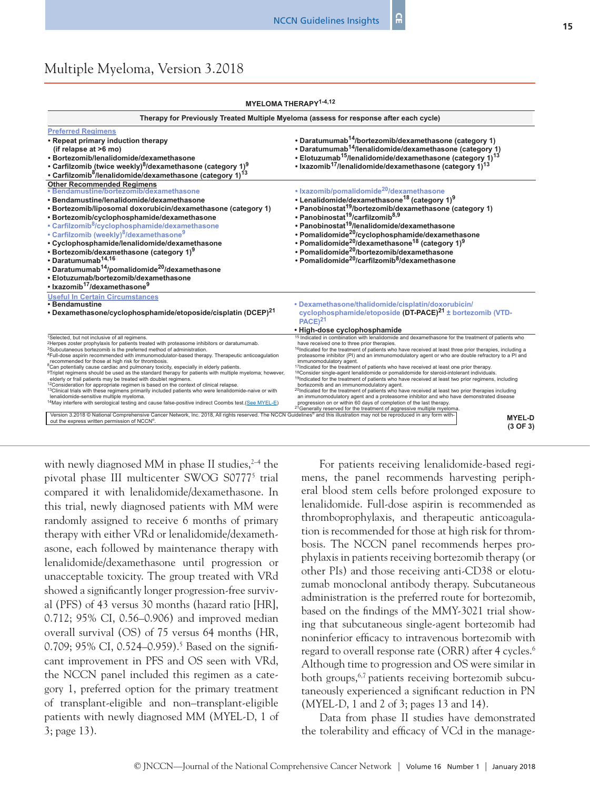| MYELOMA THERAPY <sup>1-4,12</sup> |  |
|-----------------------------------|--|
|-----------------------------------|--|

| Therapy for Previously Treated Multiple Myeloma (assess for response after each cycle)                                                                                                                                                                                                                                                                                                                                                                                                                                                                                                                                                                                                                                                                                                                                                                                                                                                                                                                                                                                                                                                                                                                                                                                  |                                                                                                                                                                                                                                                                                                                                                                                                                                                                                                                                                                                                                                                                                                                                                                                                                                                                                                                                                                                                                                                                                                                                                                                           |  |
|-------------------------------------------------------------------------------------------------------------------------------------------------------------------------------------------------------------------------------------------------------------------------------------------------------------------------------------------------------------------------------------------------------------------------------------------------------------------------------------------------------------------------------------------------------------------------------------------------------------------------------------------------------------------------------------------------------------------------------------------------------------------------------------------------------------------------------------------------------------------------------------------------------------------------------------------------------------------------------------------------------------------------------------------------------------------------------------------------------------------------------------------------------------------------------------------------------------------------------------------------------------------------|-------------------------------------------------------------------------------------------------------------------------------------------------------------------------------------------------------------------------------------------------------------------------------------------------------------------------------------------------------------------------------------------------------------------------------------------------------------------------------------------------------------------------------------------------------------------------------------------------------------------------------------------------------------------------------------------------------------------------------------------------------------------------------------------------------------------------------------------------------------------------------------------------------------------------------------------------------------------------------------------------------------------------------------------------------------------------------------------------------------------------------------------------------------------------------------------|--|
| <b>Preferred Reaimens</b><br>• Repeat primary induction therapy<br>(if relapse at >6 mo)<br>· Bortezomib/lenalidomide/dexamethasone<br>• Carfilzomib (twice weekly) <sup>8</sup> /dexamethasone (category 1) <sup>9</sup><br>• Carfilzomib <sup>8</sup> /lenalidomide/dexamethasone (category 1) <sup>13</sup>                                                                                                                                                                                                                                                                                                                                                                                                                                                                                                                                                                                                                                                                                                                                                                                                                                                                                                                                                          | • Daratumumab <sup>14</sup> /bortezomib/dexamethasone (category 1)<br>• Daratumumab <sup>14</sup> /lenalidomide/dexamethasone (category 1)<br>• Elotuzumab <sup>15</sup> /lenalidomide/dexamethasone (category 1) <sup>13</sup><br>• Ixazomib <sup>17</sup> /lenalidomide/dexamethasone (category 1) <sup>13</sup>                                                                                                                                                                                                                                                                                                                                                                                                                                                                                                                                                                                                                                                                                                                                                                                                                                                                        |  |
| Other Recommended Regimens<br>• Bendamustine/bortezomib/dexamethasone<br>· Bendamustine/lenalidomide/dexamethasone<br>• Bortezomib/liposomal doxorubicin/dexamethasone (category 1)<br>· Bortezomib/cyclophosphamide/dexamethasone<br>• Carfilzomib <sup>8</sup> /cyclophosphamide/dexamethasone<br>• Carfilzomib (weekly) <sup>8</sup> /dexamethasone <sup>9</sup><br>• Cyclophosphamide/lenalidomide/dexamethasone<br>• Bortezomib/dexamethasone (category 1) <sup>9</sup><br>• Daratumumab <sup>14,16</sup><br>• Daratumumab <sup>14</sup> /pomalidomide <sup>20</sup> /dexamethasone<br>• Elotuzumab/bortezomib/dexamethasone<br>• Ixazomib <sup>17</sup> /dexamethasone <sup>9</sup>                                                                                                                                                                                                                                                                                                                                                                                                                                                                                                                                                                               | • Ixazomib/pomalidomide <sup>20</sup> /dexamethasone<br>• Lenalidomide/dexamethasone <sup>18</sup> (category 1) <sup>9</sup><br>• Panobinostat <sup>19</sup> /bortezomib/dexamethasone (category 1)<br>• Panobinostat <sup>19</sup> /carfilzomib <sup>8,9</sup><br>• Panobinostat <sup>19</sup> /lenalidomide/dexamethasone<br>• Pomalidomide <sup>20</sup> /cyclophosphamide/dexamethasone<br>• Pomalidomide <sup>20</sup> /dexamethasone <sup>18</sup> (category 1) <sup>9</sup><br>• Pomalidomide <sup>20</sup> /bortezomib/dexamethasone<br>• Pomalidomide <sup>20</sup> /carfilzomib <sup>8</sup> /dexamethasone                                                                                                                                                                                                                                                                                                                                                                                                                                                                                                                                                                     |  |
| <b>Useful In Certain Circumstances</b><br>• Bendamustine<br>• Dexamethasone/cyclophosphamide/etoposide/cisplatin (DCEP) <sup>21</sup>                                                                                                                                                                                                                                                                                                                                                                                                                                                                                                                                                                                                                                                                                                                                                                                                                                                                                                                                                                                                                                                                                                                                   | • Dexamethasone/thalidomide/cisplatin/doxorubicin/<br>cyclophosphamide/etoposide (DT-PACE) <sup>21</sup> ± bortezomib (VTD-<br>PACE <sup>21</sup><br>• High-dose cyclophosphamide                                                                                                                                                                                                                                                                                                                                                                                                                                                                                                                                                                                                                                                                                                                                                                                                                                                                                                                                                                                                         |  |
| <sup>1</sup> Selected, but not inclusive of all regimens.<br><sup>2</sup> Herpes zoster prophylaxis for patients treated with proteasome inhibitors or daratumumab.<br><sup>3</sup> Subcutaneous bortezomib is the preferred method of administration.<br><sup>4</sup> Full-dose aspirin recommended with immunomodulator-based therapy. Therapeutic anticoagulation<br>recommended for those at high risk for thrombosis.<br><sup>8</sup> Can potentially cause cardiac and pulmonary toxicity, especially in elderly patients.<br>9Triplet regimens should be used as the standard therapy for patients with multiple myeloma; however,<br>elderly or frail patients may be treated with doublet regimens.<br><sup>12</sup> Consideration for appropriate regimen is based on the context of clinical relapse.<br>13 Clinical trials with these regimens primarily included patients who were lenalidomide-naive or with<br>lenalidomide-sensitive multiple myeloma.<br><sup>14</sup> May interfere with serological testing and cause false-positive indirect Coombs test.(See MYEL-E)<br>Version 3.2018 © National Comprehensive Cancer Network, Inc. 2018, All rights reserved. The NCCN Guidelines® and this illustration may not be reproduced in any form with- | <sup>15</sup> Indicated in combination with lenalidomide and dexamethasone for the treatment of patients who<br>have received one to three prior therapies.<br><sup>16</sup> Indicated for the treatment of patients who have received at least three prior therapies, including a<br>proteasome inhibitor (PI) and an immunomodulatory agent or who are double refractory to a PI and<br>immunomodulatory agent.<br><sup>17</sup> Indicated for the treatment of patients who have received at least one prior therapy.<br><sup>18</sup> Consider single-agent lenalidomide or pomalidomide for steroid-intolerant individuals.<br><sup>19</sup> Indicated for the treatment of patients who have received at least two prior regimens, including<br>bortezomib and an immunomodulatory agent.<br><sup>20</sup> Indicated for the treatment of patients who have received at least two prior therapies including<br>an immunomodulatory agent and a proteasome inhibitor and who have demonstrated disease<br>progression on or within 60 days of completion of the last therapy.<br><sup>21</sup> Generally reserved for the treatment of aggressive multiple myeloma.<br><b>MYEL-D</b> |  |
| out the express written permission of NCCN <sup>®</sup> .                                                                                                                                                                                                                                                                                                                                                                                                                                                                                                                                                                                                                                                                                                                                                                                                                                                                                                                                                                                                                                                                                                                                                                                                               | $(3$ OF $3)$                                                                                                                                                                                                                                                                                                                                                                                                                                                                                                                                                                                                                                                                                                                                                                                                                                                                                                                                                                                                                                                                                                                                                                              |  |

with newly diagnosed MM in phase II studies,  $2-4$  the pivotal phase III multicenter SWOG S0777<sup>5</sup> trial compared it with lenalidomide/dexamethasone. In this trial, newly diagnosed patients with MM were randomly assigned to receive 6 months of primary therapy with either VRd or lenalidomide/dexamethasone, each followed by maintenance therapy with lenalidomide/dexamethasone until progression or unacceptable toxicity. The group treated with VRd showed a significantly longer progression-free survival (PFS) of 43 versus 30 months (hazard ratio [HR], 0.712; 95% CI, 0.56–0.906) and improved median overall survival (OS) of 75 versus 64 months (HR, 0.709; 95% CI, 0.524–0.959).<sup>5</sup> Based on the significant improvement in PFS and OS seen with VRd, the NCCN panel included this regimen as a category 1, preferred option for the primary treatment of transplant-eligible and non–transplant-eligible patients with newly diagnosed MM (MYEL-D, 1 of 3; page 13).

For patients receiving lenalidomide-based regimens, the panel recommends harvesting peripheral blood stem cells before prolonged exposure to lenalidomide. Full-dose aspirin is recommended as thromboprophylaxis, and therapeutic anticoagulation is recommended for those at high risk for thrombosis. The NCCN panel recommends herpes prophylaxis in patients receiving bortezomib therapy (or other PIs) and those receiving anti-CD38 or elotuzumab monoclonal antibody therapy. Subcutaneous administration is the preferred route for bortezomib, based on the findings of the MMY-3021 trial showing that subcutaneous single-agent bortezomib had noninferior efficacy to intravenous bortezomib with regard to overall response rate (ORR) after 4 cycles.<sup>6</sup> Although time to progression and OS were similar in both groups,<sup>6,7</sup> patients receiving bortezomib subcutaneously experienced a significant reduction in PN (MYEL-D, 1 and 2 of 3; pages 13 and 14).

Data from phase II studies have demonstrated the tolerability and efficacy of VCd in the manage-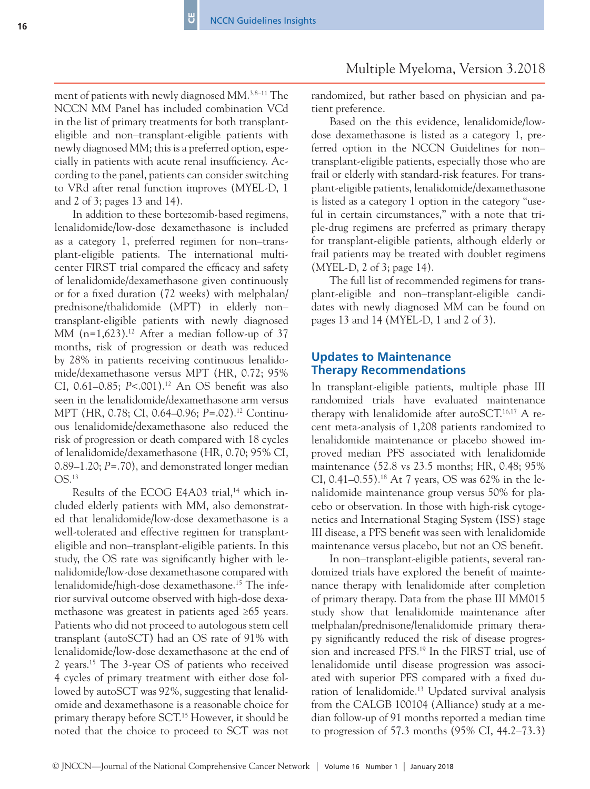ment of patients with newly diagnosed MM.<sup>3,8–11</sup> The NCCN MM Panel has included combination VCd in the list of primary treatments for both transplanteligible and non–transplant-eligible patients with newly diagnosed MM; this is a preferred option, especially in patients with acute renal insufficiency. According to the panel, patients can consider switching to VRd after renal function improves (MYEL-D, 1 and 2 of 3; pages 13 and 14).

ö

In addition to these bortezomib-based regimens, lenalidomide/low-dose dexamethasone is included as a category 1, preferred regimen for non–transplant-eligible patients. The international multicenter FIRST trial compared the efficacy and safety of lenalidomide/dexamethasone given continuously or for a fixed duration (72 weeks) with melphalan/ prednisone/thalidomide (MPT) in elderly non– transplant-eligible patients with newly diagnosed MM  $(n=1,623).$ <sup>12</sup> After a median follow-up of 37 months, risk of progression or death was reduced by 28% in patients receiving continuous lenalidomide/dexamethasone versus MPT (HR, 0.72; 95% CI, 0.61–0.85; *P<.*001).<sup>12</sup> An OS benefit was also seen in the lenalidomide/dexamethasone arm versus MPT (HR, 0.78; CI, 0.64–0.96; *P*=.02).12 Continuous lenalidomide/dexamethasone also reduced the risk of progression or death compared with 18 cycles of lenalidomide/dexamethasone (HR, 0.70; 95% CI, 0.89–1.20; *P*=.70), and demonstrated longer median OS.13

Results of the ECOG E4A03 trial,<sup>14</sup> which included elderly patients with MM, also demonstrated that lenalidomide/low-dose dexamethasone is a well-tolerated and effective regimen for transplanteligible and non–transplant-eligible patients. In this study, the OS rate was significantly higher with lenalidomide/low-dose dexamethasone compared with lenalidomide/high-dose dexamethasone.<sup>15</sup> The inferior survival outcome observed with high-dose dexamethasone was greatest in patients aged ≥65 years. Patients who did not proceed to autologous stem cell transplant (autoSCT) had an OS rate of 91% with lenalidomide/low-dose dexamethasone at the end of 2 years.15 The 3-year OS of patients who received 4 cycles of primary treatment with either dose followed by autoSCT was 92%, suggesting that lenalidomide and dexamethasone is a reasonable choice for primary therapy before SCT.15 However, it should be noted that the choice to proceed to SCT was not

# Multiple Myeloma, Version 3.2018

randomized, but rather based on physician and patient preference.

Based on the this evidence, lenalidomide/lowdose dexamethasone is listed as a category 1, preferred option in the NCCN Guidelines for non– transplant-eligible patients, especially those who are frail or elderly with standard-risk features. For transplant-eligible patients, lenalidomide/dexamethasone is listed as a category 1 option in the category "useful in certain circumstances," with a note that triple-drug regimens are preferred as primary therapy for transplant-eligible patients, although elderly or frail patients may be treated with doublet regimens (MYEL-D, 2 of 3; page 14).

The full list of recommended regimens for transplant-eligible and non–transplant-eligible candidates with newly diagnosed MM can be found on pages 13 and 14 (MYEL-D, 1 and 2 of 3).

### **Updates to Maintenance Therapy Recommendations**

In transplant-eligible patients, multiple phase III randomized trials have evaluated maintenance therapy with lenalidomide after autoSCT. $16,17$  A recent meta-analysis of 1,208 patients randomized to lenalidomide maintenance or placebo showed improved median PFS associated with lenalidomide maintenance (52.8 vs 23.5 months; HR, 0.48; 95% CI, 0.41–0.55).<sup>18</sup> At 7 years, OS was 62% in the lenalidomide maintenance group versus 50% for placebo or observation. In those with high-risk cytogenetics and International Staging System (ISS) stage III disease, a PFS benefit was seen with lenalidomide maintenance versus placebo, but not an OS benefit.

In non–transplant-eligible patients, several randomized trials have explored the benefit of maintenance therapy with lenalidomide after completion of primary therapy. Data from the phase III MM015 study show that lenalidomide maintenance after melphalan/prednisone/lenalidomide primary therapy significantly reduced the risk of disease progression and increased PFS.19 In the FIRST trial, use of lenalidomide until disease progression was associated with superior PFS compared with a fixed duration of lenalidomide.<sup>13</sup> Updated survival analysis from the CALGB 100104 (Alliance) study at a median follow-up of 91 months reported a median time to progression of 57.3 months (95% CI, 44.2–73.3)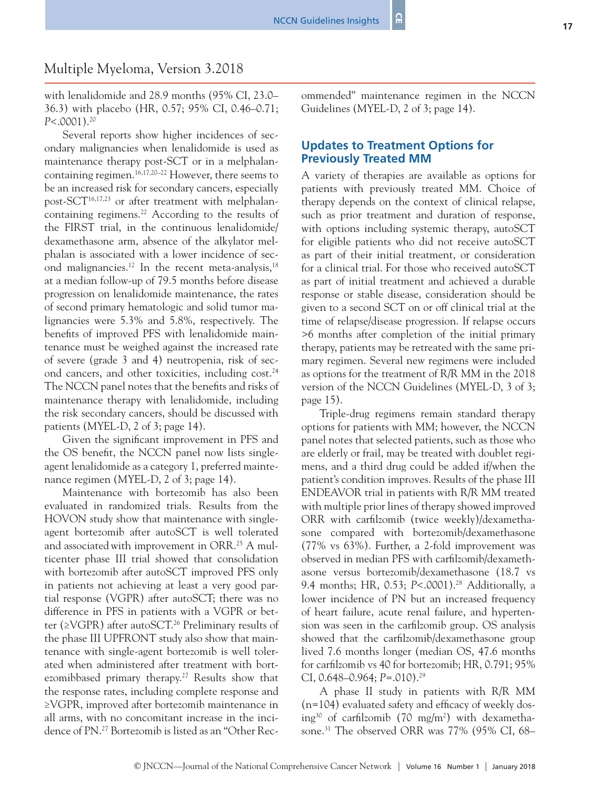with lenalidomide and 28.9 months (95% CI, 23.0– 36.3) with placebo (HR, 0.57; 95% CI, 0.46–0.71; *P*<.0001).20

Several reports show higher incidences of secondary malignancies when lenalidomide is used as maintenance therapy post-SCT or in a melphalancontaining regimen.16,17,20–22 However, there seems to be an increased risk for secondary cancers, especially post-SCT<sup>16,17,23</sup> or after treatment with melphalancontaining regimens.<sup>22</sup> According to the results of the FIRST trial, in the continuous lenalidomide/ dexamethasone arm, absence of the alkylator melphalan is associated with a lower incidence of second malignancies.<sup>12</sup> In the recent meta-analysis,<sup>18</sup> at a median follow-up of 79.5 months before disease progression on lenalidomide maintenance, the rates of second primary hematologic and solid tumor malignancies were 5.3% and 5.8%, respectively. The benefits of improved PFS with lenalidomide maintenance must be weighed against the increased rate of severe (grade 3 and 4) neutropenia, risk of second cancers, and other toxicities, including cost.<sup>24</sup> The NCCN panel notes that the benefits and risks of maintenance therapy with lenalidomide, including the risk secondary cancers, should be discussed with patients (MYEL-D, 2 of 3; page 14).

Given the significant improvement in PFS and the OS benefit, the NCCN panel now lists singleagent lenalidomide as a category 1, preferred maintenance regimen (MYEL-D, 2 of 3; page 14).

Maintenance with bortezomib has also been evaluated in randomized trials. Results from the HOVON study show that maintenance with singleagent bortezomib after autoSCT is well tolerated and associated with improvement in ORR.<sup>25</sup> A multicenter phase III trial showed that consolidation with bortezomib after autoSCT improved PFS only in patients not achieving at least a very good partial response (VGPR) after autoSCT; there was no difference in PFS in patients with a VGPR or better (≥VGPR) after autoSCT.26 Preliminary results of the phase III UPFRONT study also show that maintenance with single-agent bortezomib is well tolerated when administered after treatment with bortezomibbased primary therapy.<sup>27</sup> Results show that the response rates, including complete response and ≥VGPR, improved after bortezomib maintenance in all arms, with no concomitant increase in the incidence of PN.<sup>27</sup> Bortezomib is listed as an "Other Recommended" maintenance regimen in the NCCN Guidelines (MYEL-D, 2 of 3; page 14).

# **Updates to Treatment Options for Previously Treated MM**

A variety of therapies are available as options for patients with previously treated MM. Choice of therapy depends on the context of clinical relapse, such as prior treatment and duration of response, with options including systemic therapy, autoSCT for eligible patients who did not receive autoSCT as part of their initial treatment, or consideration for a clinical trial. For those who received autoSCT as part of initial treatment and achieved a durable response or stable disease, consideration should be given to a second SCT on or off clinical trial at the time of relapse/disease progression. If relapse occurs >6 months after completion of the initial primary therapy, patients may be retreated with the same primary regimen. Several new regimens were included as options for the treatment of R/R MM in the 2018 version of the NCCN Guidelines (MYEL-D, 3 of 3; page 15).

Triple-drug regimens remain standard therapy options for patients with MM; however, the NCCN panel notes that selected patients, such as those who are elderly or frail, may be treated with doublet regimens, and a third drug could be added if/when the patient's condition improves. Results of the phase III ENDEAVOR trial in patients with R/R MM treated with multiple prior lines of therapy showed improved ORR with carfilzomib (twice weekly)/dexamethasone compared with bortezomib/dexamethasone (77% vs 63%). Further, a 2-fold improvement was observed in median PFS with carfilzomib/dexamethasone versus bortezomib/dexamethasone (18.7 vs 9.4 months; HR, 0.53; *P<.*0001).<sup>28</sup> Additionally, a lower incidence of PN but an increased frequency of heart failure, acute renal failure, and hypertension was seen in the carfilzomib group. OS analysis showed that the carfilzomib/dexamethasone group lived 7.6 months longer (median OS, 47.6 months for carfilzomib vs 40 for bortezomib; HR, 0.791; 95% CI, 0.648–0.964; *P*=.010).29

A phase II study in patients with R/R MM (n=104) evaluated safety and efficacy of weekly dosing30 of carfilzomib (70 mg/m2 ) with dexamethasone.<sup>31</sup> The observed ORR was 77% (95% CI, 68–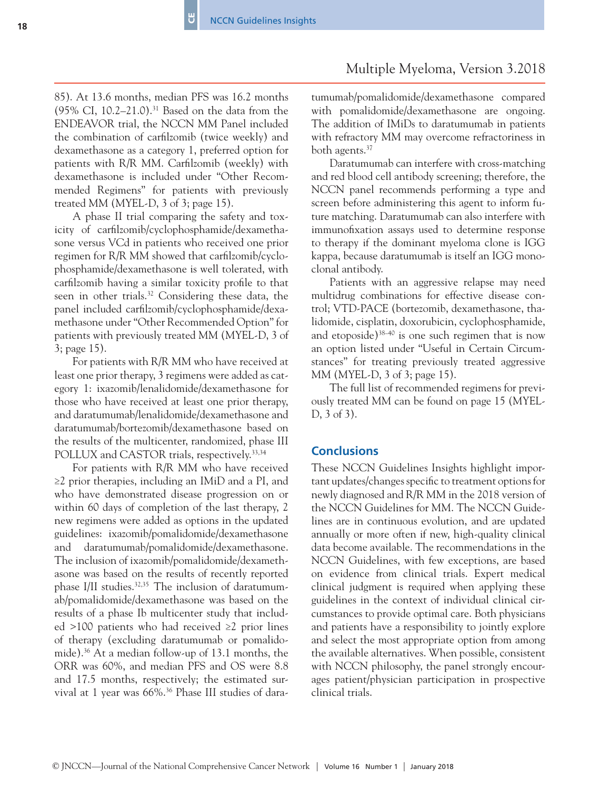85). At 13.6 months, median PFS was 16.2 months (95% CI, 10.2–21.0).31 Based on the data from the ENDEAVOR trial, the NCCN MM Panel included the combination of carfilzomib (twice weekly) and dexamethasone as a category 1, preferred option for patients with R/R MM. Carfilzomib (weekly) with dexamethasone is included under "Other Recommended Regimens" for patients with previously treated MM (MYEL-D,  $3$  of  $3$ ; page 15).

A phase II trial comparing the safety and toxicity of carfilzomib/cyclophosphamide/dexamethasone versus VCd in patients who received one prior regimen for R/R MM showed that carfilzomib/cyclophosphamide/dexamethasone is well tolerated, with carfilzomib having a similar toxicity profile to that seen in other trials.32 Considering these data, the panel included carfilzomib/cyclophosphamide/dexamethasone under "Other Recommended Option" for patients with previously treated MM (MYEL-D, 3 of 3; page 15).

For patients with R/R MM who have received at least one prior therapy, 3 regimens were added as category 1: ixazomib/lenalidomide/dexamethasone for those who have received at least one prior therapy, and daratumumab/lenalidomide/dexamethasone and daratumumab/bortezomib/dexamethasone based on the results of the multicenter, randomized, phase III POLLUX and CASTOR trials, respectively.<sup>33,34</sup>

For patients with R/R MM who have received ≥2 prior therapies, including an IMiD and a PI, and who have demonstrated disease progression on or within 60 days of completion of the last therapy, 2 new regimens were added as options in the updated guidelines: ixazomib/pomalidomide/dexamethasone and daratumumab/pomalidomide/dexamethasone. The inclusion of ixazomib/pomalidomide/dexamethasone was based on the results of recently reported phase I/II studies.<sup>32,35</sup> The inclusion of daratumumab/pomalidomide/dexamethasone was based on the results of a phase Ib multicenter study that included >100 patients who had received ≥2 prior lines of therapy (excluding daratumumab or pomalidomide).36 At a median follow-up of 13.1 months, the ORR was 60%, and median PFS and OS were 8.8 and 17.5 months, respectively; the estimated survival at 1 year was 66%.36 Phase III studies of daratumumab/pomalidomide/dexamethasone compared with pomalidomide/dexamethasone are ongoing. The addition of IMiDs to daratumumab in patients with refractory MM may overcome refractoriness in both agents.<sup>37</sup>

Daratumumab can interfere with cross-matching and red blood cell antibody screening; therefore, the NCCN panel recommends performing a type and screen before administering this agent to inform future matching. Daratumumab can also interfere with immunofixation assays used to determine response to therapy if the dominant myeloma clone is IGG kappa, because daratumumab is itself an IGG monoclonal antibody.

Patients with an aggressive relapse may need multidrug combinations for effective disease control; VTD-PACE (bortezomib, dexamethasone, thalidomide, cisplatin, doxorubicin, cyclophosphamide, and etoposide) $38-40$  is one such regimen that is now an option listed under "Useful in Certain Circumstances" for treating previously treated aggressive MM (MYEL-D, 3 of 3; page 15).

The full list of recommended regimens for previously treated MM can be found on page 15 (MYEL-D, 3 of 3).

# **Conclusions**

These NCCN Guidelines Insights highlight important updates/changes specific to treatment options for newly diagnosed and R/R MM in the 2018 version of the NCCN Guidelines for MM. The NCCN Guidelines are in continuous evolution, and are updated annually or more often if new, high-quality clinical data become available. The recommendations in the NCCN Guidelines, with few exceptions, are based on evidence from clinical trials. Expert medical clinical judgment is required when applying these guidelines in the context of individual clinical circumstances to provide optimal care. Both physicians and patients have a responsibility to jointly explore and select the most appropriate option from among the available alternatives. When possible, consistent with NCCN philosophy, the panel strongly encourages patient/physician participation in prospective clinical trials.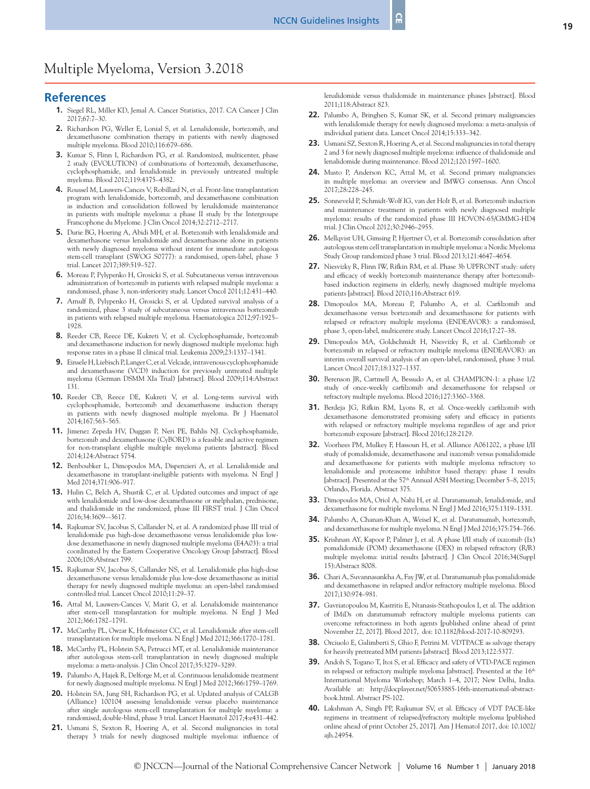#### **References**

- **1.** Siegel RL, Miller KD, Jemal A. Cancer Statistics, 2017. CA Cancer J Clin 2017;67:7–30.
- **2.** Richardson PG, Weller E, Lonial S, et al. Lenalidomide, bortezomib, and dexamethasone combination therapy in patients with newly diagnosed multiple myeloma. Blood 2010;116:679–686.
- **3.** Kumar S, Flinn I, Richardson PG, et al. Randomized, multicenter, phase 2 study (EVOLUTION) of combinations of bortezomib, dexamethasone, cyclophosphamide, and lenalidomide in previously untreated multiple myeloma. Blood 2012;119:4375–4382.
- **4.** Roussel M, Lauwers-Cances V, Robillard N, et al. Front-line transplantation program with lenalidomide, bortezomib, and dexamethasone combination as induction and consolidation followed by lenalidomide maintenance in patients with multiple myeloma: a phase II study by the Intergroupe Francophone du Myelome. J Clin Oncol 2014;32:2712–2717.
- **5.** Durie BG, Hoering A, Abidi MH, et al. Bortezomib with lenalidomide and dexamethasone versus lenalidomide and dexamethasone alone in patients with newly diagnosed myeloma without intent for immediate autologous stem-cell transplant (SWOG S0777): a randomised, open-label, phase 3 trial. Lancet 2017;389:519–527.
- **6.** Moreau P, Pylypenko H, Grosicki S, et al. Subcutaneous versus intravenous administration of bortezomib in patients with relapsed multiple myeloma: a randomised, phase 3, non-inferiority study. Lancet Oncol 2011;12:431–440.
- **7.** Arnulf B, Pylypenko H, Grosicki S, et al. Updated survival analysis of a randomized, phase 3 study of subcutaneous versus intravenous bortezomib in patients with relapsed multiple myeloma. Haematologica 2012;97:1925– 1928.
- **8.** Reeder CB, Reece DE, Kukreti V, et al. Cyclophosphamide, bortezomib and dexamethasone induction for newly diagnosed multiple myeloma: high response rates in a phase II clinical trial. Leukemia 2009;23:1337–1341.
- **9.** Einsele H, Liebisch P, Langer C, et al. Velcade, intravenous cyclophosphamide and dexamethasone (VCD) induction for previously untreated multiple myeloma (German DSMM XIa Trial) [abstract]. Blood 2009;114:Abstract 131.
- **10.** Reeder CB, Reece DE, Kukreti V, et al. Long-term survival with cyclophosphamide, bortezomib and dexamethasone induction therapy in patients with newly diagnosed multiple myeloma. Br J Haematol 2014;167:563–565.
- **11.** Jimenez Zepeda HV, Duggan P, Neri PE, Bahlis NJ. Cyclophosphamide, bortezomib and dexamethasone (CyBORD) is a feasible and active regimen for non-transplant eligible multiple myeloma patients [abstract]. Blood 2014;124:Abstract 5754.
- **12.** Benboubker L, Dimopoulos MA, Dispenzieri A, et al. Lenalidomide and dexamethasone in transplant-ineligible patients with myeloma. N Engl J Med 2014;371:906–917.
- **13.** Hulin C, Belch A, Shustik C, et al. Updated outcomes and impact of age with lenalidomide and low-dose dexamethasone or melphalan, prednisone, and thalidomide in the randomized, phase III FIRST trial. J Clin Oncol 2016;34:3609–-3617.
- **14.** Rajkumar SV, Jacobus S, Callander N, et al. A randomized phase III trial of lenalidomide pus high-dose dexamethasone versus lenalidomide plus lowdose dexamethasone in newly diagnosed multiple myeloma (E4A03): a trial coordinated by the Eastern Cooperative Oncology Group [abstract]. Blood 2006;108:Abstract 799.
- **15.** Rajkumar SV, Jacobus S, Callander NS, et al. Lenalidomide plus high-dose dexamethasone versus lenalidomide plus low-dose dexamethasone as initial therapy for newly diagnosed multiple myeloma: an open-label randomised controlled trial. Lancet Oncol 2010;11:29–37.
- **16.** Attal M, Lauwers-Cances V, Marit G, et al. Lenalidomide maintenance after stem-cell transplantation for multiple myeloma. N Engl J Med 2012;366:1782–1791.
- **17.** McCarthy PL, Owzar K, Hofmeister CC, et al. Lenalidomide after stem-cell transplantation for multiple myeloma. N Engl J Med 2012;366:1770–1781.
- **18.** McCarthy PL, Holstein SA, Petrucci MT, et al. Lenalidomide maintenance after autologous stem-cell transplantation in newly diagnosed multiple myeloma: a meta-analysis. J Clin Oncol 2017;35:3279–3289.
- **19.** Palumbo A, Hajek R, Delforge M, et al. Continuous lenalidomide treatment for newly diagnosed multiple myeloma. N Engl J Med 2012;366:1759–1769.
- **20.** Holstein SA, Jung SH, Richardson PG, et al. Updated analysis of CALGB (Alliance) 100104 assessing lenalidomide versus placebo maintenance after single autologous stem-cell transplantation for multiple myeloma: a randomised, double-blind, phase 3 trial. Lancet Haematol 2017;4:e431–442.
- **21.** Usmani S, Sexton R, Hoering A, et al. Second malignancies in total therapy 3 trials for newly diagnosed multiple myeloma: influence of

lenalidomide versus thalidomide in maintenance phases [abstract]. Blood 2011;118:Abstract 823.

- **22.** Palumbo A, Bringhen S, Kumar SK, et al. Second primary malignancies with lenalidomide therapy for newly diagnosed myeloma: a meta-analysis of individual patient data. Lancet Oncol 2014;15:333–342.
- **23.** Usmani SZ, Sexton R, Hoering A, et al. Second malignancies in total therapy 2 and 3 for newly diagnosed multiple myeloma: influence of thalidomide and lenalidomide during maintenance. Blood 2012;120:1597–1600.
- **24.** Musto P, Anderson KC, Attal M, et al. Second primary malignancies in multiple myeloma: an overview and IMWG consensus. Ann Oncol 2017;28:228–245.
- **25.** Sonneveld P, Schmidt-Wolf IG, van der Holt B, et al. Bortezomib induction and maintenance treatment in patients with newly diagnosed multiple myeloma: results of the randomized phase III HOVON-65/GMMG-HD4 trial. J Clin Oncol 2012;30:2946–2955.
- **26.** Mellqvist UH, Gimsing P, Hjertner O, et al. Bortezomib consolidation after autologous stem cell transplantation in multiple myeloma: a Nordic Myeloma Study Group randomized phase 3 trial. Blood 2013;121:4647–4654.
- **27.** Niesvizky R, Flinn IW, Rifkin RM, et al. Phase 3b UPFRONT study: safety and efficacy of weekly bortezomib maintenance therapy after bortezomibbased induction regimens in elderly, newly diagnosed multiple myeloma patients [abstract]. Blood 2010;116:Abstract 619.
- **28.** Dimopoulos MA, Moreau P, Palumbo A, et al. Carfilzomib and dexamethasone versus bortezomib and dexamethasone for patients with relapsed or refractory multiple myeloma (ENDEAVOR): a randomised, phase 3, open-label, multicentre study. Lancet Oncol 2016;17:27–38.
- **29.** Dimopoulos MA, Goldschmidt H, Niesvizky R, et al. Carfilzomib or bortezomib in relapsed or refractory multiple myeloma (ENDEAVOR): an interim overall survival analysis of an open-label, randomised, phase 3 trial. Lancet Oncol 2017;18:1327–1337.
- **30.** Berenson JR, Cartmell A, Bessudo A, et al. CHAMPION-1: a phase 1/2 study of once-weekly carfilzomib and dexamethasone for relapsed or refractory multiple myeloma. Blood 2016;127:3360–3368.
- **31.** Berdeja JG, Rifkin RM, Lyons R, et al. Once-weekly carfilzomib with dexamethasone demonstrated promising safety and efficacy in patients with relapsed or refractory multiple myeloma regardless of age and prior bortezomib exposure [abstract]. Blood 2016;128:2129.
- **32.** Voorhees PM, Mulkey F, Hassoun H, et al. Alliance A061202, a phase I/II study of pomalidomide, dexamethasone and ixazomib versus pomalidomide and dexamethasone for patients with multiple myeloma refractory to lenalidomide and proteasome inhibitor based therapy: phase I results [abstract]. Presented at the 57<sup>th</sup> Annual ASH Meeting; December 5-8, 2015; Orlando, Florida. Abstract 375.
- **33.** Dimopoulos MA, Oriol A, Nahi H, et al. Daratumumab, lenalidomide, and dexamethasone for multiple myeloma. N Engl J Med 2016;375:1319–1331.
- **34.** Palumbo A, Chanan-Khan A, Weisel K, et al. Daratumumab, bortezomib, and dexamethasone for multiple myeloma. N Engl J Med 2016;375:754–766.
- **35.** Krishnan AY, Kapoor P, Palmer J, et al. A phase I/II study of ixazomib (Ix) pomalidomide (POM) dexamethasone (DEX) in relapsed refractory (R/R) multiple myeloma: initial results [abstract]. J Clin Oncol 2016;34(Suppl 15):Abstract 8008.
- **36.** Chari A, Suvannasankha A, Fay JW, et al. Daratumumab plus pomalidomide and dexamethasone in relapsed and/or refractory multiple myeloma. Blood 2017;130:974–981.
- **37.** Gavriatopoulou M, Kastritis E, Ntanasis-Stathopoulos I, et al. The addition of IMiDs on daratumumab refractory multiple myeloma patients can overcome refractoriness in both agents [published online ahead of print November 22, 2017]. Blood 2017, doi: 10.1182/blood-2017-10-809293.
- **38.** Orciuolo E, Galimberti S, Ghio F, Petrini M. VDTPACE as salvage therapy for heavily pretreated MM patients [abstract]. Blood 2013;122:5377.
- **39.** Andoh S, Togano T, Itoi S, et al. Efficacy and safety of VTD-PACE regimen in relapsed or refractory multiple myeloma [abstract]. Presented at the  $16<sup>th</sup>$ International Myeloma Workshop; March 1–4, 2017; New Delhi, India. Available at: [http://docplayer.net/50653885-16th-international-abstract](http://docplayer.net/50653885-16th-international-abstract-book.html)[book.html](http://docplayer.net/50653885-16th-international-abstract-book.html). Abstract PS-102.
- **40.** Lakshman A, Singh PP, Rajkumar SV, et al. Efficacy of VDT PACE-like regimens in treatment of relapsed/refractory multiple myeloma [published online ahead of print October 25, 2017]. Am J Hematol 2017, doi: 10.1002/ ajh.24954.